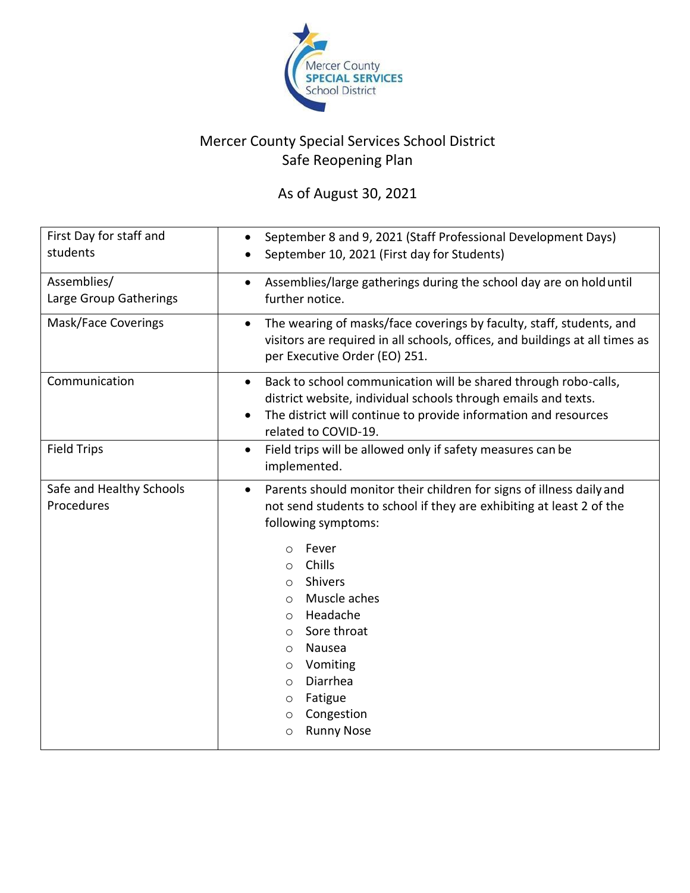

## Mercer County Special Services School District Safe Reopening Plan

As of August 30, 2021

| First Day for staff and<br>students    | September 8 and 9, 2021 (Staff Professional Development Days)<br>$\bullet$<br>September 10, 2021 (First day for Students)                                                                                                                                                                                                                                                                                                                                                     |
|----------------------------------------|-------------------------------------------------------------------------------------------------------------------------------------------------------------------------------------------------------------------------------------------------------------------------------------------------------------------------------------------------------------------------------------------------------------------------------------------------------------------------------|
| Assemblies/<br>Large Group Gatherings  | Assemblies/large gatherings during the school day are on hold until<br>$\bullet$<br>further notice.                                                                                                                                                                                                                                                                                                                                                                           |
| <b>Mask/Face Coverings</b>             | The wearing of masks/face coverings by faculty, staff, students, and<br>visitors are required in all schools, offices, and buildings at all times as<br>per Executive Order (EO) 251.                                                                                                                                                                                                                                                                                         |
| Communication                          | Back to school communication will be shared through robo-calls,<br>$\bullet$<br>district website, individual schools through emails and texts.<br>The district will continue to provide information and resources<br>related to COVID-19.                                                                                                                                                                                                                                     |
| <b>Field Trips</b>                     | Field trips will be allowed only if safety measures can be<br>$\bullet$<br>implemented.                                                                                                                                                                                                                                                                                                                                                                                       |
| Safe and Healthy Schools<br>Procedures | Parents should monitor their children for signs of illness daily and<br>$\bullet$<br>not send students to school if they are exhibiting at least 2 of the<br>following symptoms:<br>Fever<br>$\circ$<br>Chills<br>$\circ$<br>Shivers<br>$\circ$<br>Muscle aches<br>$\circ$<br>Headache<br>$\circ$<br>Sore throat<br>$\circ$<br>Nausea<br>$\circ$<br>Vomiting<br>$\circ$<br>Diarrhea<br>$\circ$<br>Fatigue<br>$\circ$<br>Congestion<br>$\circ$<br><b>Runny Nose</b><br>$\circ$ |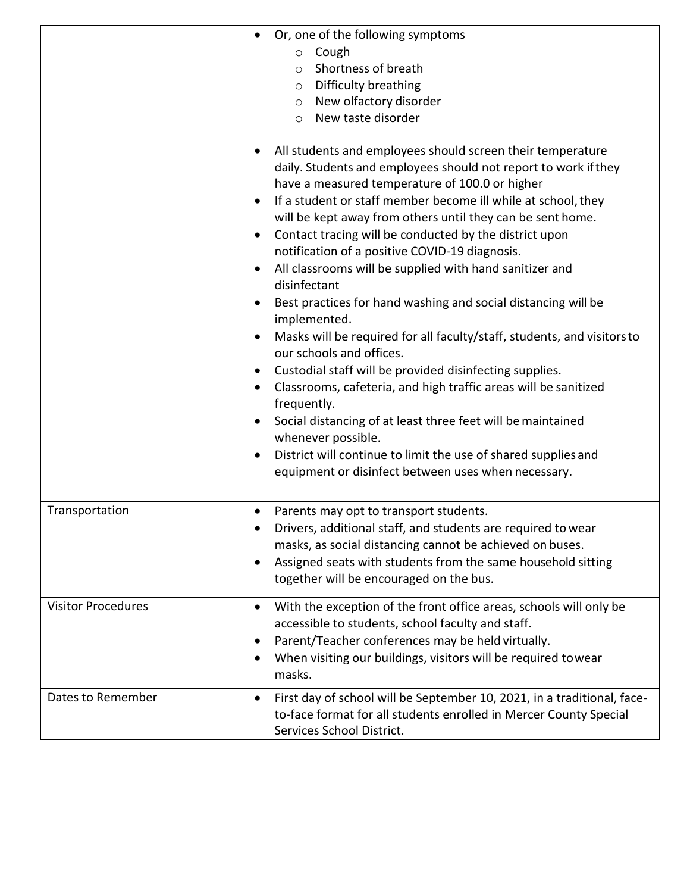|                           | Or, one of the following symptoms<br>Cough<br>$\circ$<br>Shortness of breath<br>$\circ$<br>Difficulty breathing<br>$\circ$<br>New olfactory disorder<br>$\circ$<br>New taste disorder<br>$\circ$<br>All students and employees should screen their temperature<br>daily. Students and employees should not report to work if they<br>have a measured temperature of 100.0 or higher<br>If a student or staff member become ill while at school, they<br>$\bullet$<br>will be kept away from others until they can be sent home.<br>Contact tracing will be conducted by the district upon<br>$\bullet$<br>notification of a positive COVID-19 diagnosis.<br>All classrooms will be supplied with hand sanitizer and<br>$\bullet$<br>disinfectant<br>Best practices for hand washing and social distancing will be<br>implemented.<br>Masks will be required for all faculty/staff, students, and visitors to<br>our schools and offices.<br>Custodial staff will be provided disinfecting supplies.<br>$\bullet$<br>Classrooms, cafeteria, and high traffic areas will be sanitized<br>$\bullet$<br>frequently.<br>Social distancing of at least three feet will be maintained<br>whenever possible.<br>District will continue to limit the use of shared supplies and<br>equipment or disinfect between uses when necessary. |
|---------------------------|-------------------------------------------------------------------------------------------------------------------------------------------------------------------------------------------------------------------------------------------------------------------------------------------------------------------------------------------------------------------------------------------------------------------------------------------------------------------------------------------------------------------------------------------------------------------------------------------------------------------------------------------------------------------------------------------------------------------------------------------------------------------------------------------------------------------------------------------------------------------------------------------------------------------------------------------------------------------------------------------------------------------------------------------------------------------------------------------------------------------------------------------------------------------------------------------------------------------------------------------------------------------------------------------------------------------------------|
| Transportation            | Parents may opt to transport students.                                                                                                                                                                                                                                                                                                                                                                                                                                                                                                                                                                                                                                                                                                                                                                                                                                                                                                                                                                                                                                                                                                                                                                                                                                                                                        |
|                           | Drivers, additional staff, and students are required to wear<br>masks, as social distancing cannot be achieved on buses.<br>Assigned seats with students from the same household sitting<br>together will be encouraged on the bus.                                                                                                                                                                                                                                                                                                                                                                                                                                                                                                                                                                                                                                                                                                                                                                                                                                                                                                                                                                                                                                                                                           |
| <b>Visitor Procedures</b> | With the exception of the front office areas, schools will only be<br>$\bullet$<br>accessible to students, school faculty and staff.<br>Parent/Teacher conferences may be held virtually.<br>When visiting our buildings, visitors will be required towear<br>masks.                                                                                                                                                                                                                                                                                                                                                                                                                                                                                                                                                                                                                                                                                                                                                                                                                                                                                                                                                                                                                                                          |
| Dates to Remember         | First day of school will be September 10, 2021, in a traditional, face-<br>$\bullet$<br>to-face format for all students enrolled in Mercer County Special<br>Services School District.                                                                                                                                                                                                                                                                                                                                                                                                                                                                                                                                                                                                                                                                                                                                                                                                                                                                                                                                                                                                                                                                                                                                        |